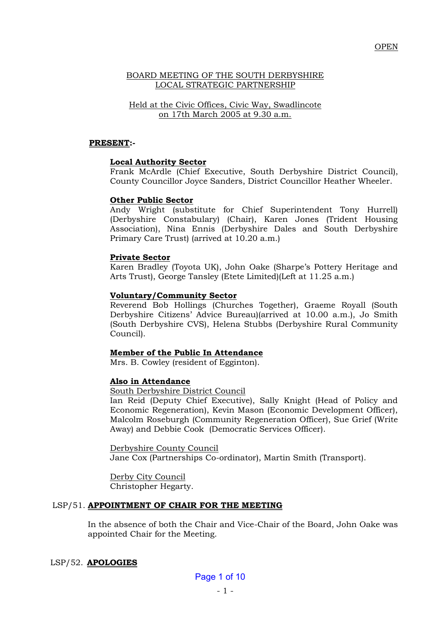# BOARD MEETING OF THE SOUTH DERBYSHIRE LOCAL STRATEGIC PARTNERSHIP

Held at the Civic Offices, Civic Way, Swadlincote on 17th March 2005 at 9.30 a.m.

### **PRESENT:-**

### **Local Authority Sector**

Frank McArdle (Chief Executive, South Derbyshire District Council), County Councillor Joyce Sanders, District Councillor Heather Wheeler.

### **Other Public Sector**

Andy Wright (substitute for Chief Superintendent Tony Hurrell) (Derbyshire Constabulary) (Chair), Karen Jones (Trident Housing Association), Nina Ennis (Derbyshire Dales and South Derbyshire Primary Care Trust) (arrived at 10.20 a.m.)

### **Private Sector**

Karen Bradley (Toyota UK), John Oake (Sharpe's Pottery Heritage and Arts Trust), George Tansley (Etete Limited)(Left at 11.25 a.m.)

### **Voluntary/Community Sector**

Reverend Bob Hollings (Churches Together), Graeme Royall (South Derbyshire Citizens' Advice Bureau)(arrived at 10.00 a.m.), Jo Smith (South Derbyshire CVS), Helena Stubbs (Derbyshire Rural Community Council).

# **Member of the Public In Attendance**

Mrs. B. Cowley (resident of Egginton).

### **Also in Attendance**

South Derbyshire District Council

Ian Reid (Deputy Chief Executive), Sally Knight (Head of Policy and Economic Regeneration), Kevin Mason (Economic Development Officer), Malcolm Roseburgh (Community Regeneration Officer), Sue Grief (Write Away) and Debbie Cook (Democratic Services Officer).

Derbyshire County Council Jane Cox (Partnerships Co-ordinator), Martin Smith (Transport).

Derby City Council Christopher Hegarty.

### LSP/51. **APPOINTMENT OF CHAIR FOR THE MEETING**

In the absence of both the Chair and Vice-Chair of the Board, John Oake was appointed Chair for the Meeting.

### LSP/52. **APOLOGIES**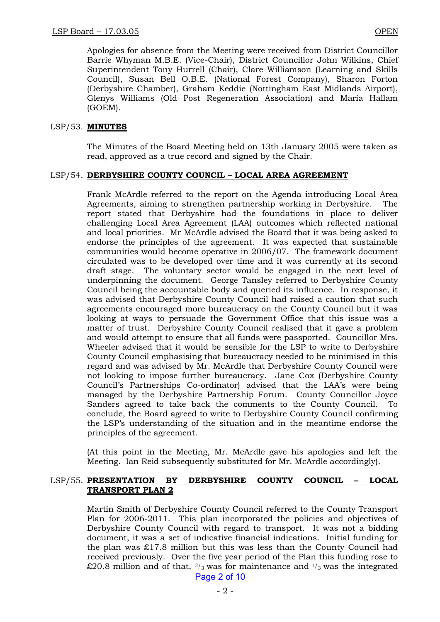Apologies for absence from the Meeting were received from District Councillor Barrie Whyman M.B.E. (Vice-Chair), District Councillor John Wilkins, Chief Superintendent Tony Hurrell (Chair), Clare Williamson (Learning and Skills Council), Susan Bell O.B.E. (National Forest Company), Sharon Forton (Derbyshire Chamber), Graham Keddie (Nottingham East Midlands Airport), Glenys Williams (Old Post Regeneration Association) and Maria Hallam (GOEM).

# LSP/53. **MINUTES**

The Minutes of the Board Meeting held on 13th January 2005 were taken as read, approved as a true record and signed by the Chair.

# LSP/54. **DERBYSHIRE COUNTY COUNCIL – LOCAL AREA AGREEMENT**

Frank McArdle referred to the report on the Agenda introducing Local Area Agreements, aiming to strengthen partnership working in Derbyshire. The report stated that Derbyshire had the foundations in place to deliver challenging Local Area Agreement (LAA) outcomes which reflected national and local priorities. Mr McArdle advised the Board that it was being asked to endorse the principles of the agreement. It was expected that sustainable communities would become operative in 2006/07. The framework document circulated was to be developed over time and it was currently at its second draft stage. The voluntary sector would be engaged in the next level of underpinning the document. George Tansley referred to Derbyshire County Council being the accountable body and queried its influence. In response, it was advised that Derbyshire County Council had raised a caution that such agreements encouraged more bureaucracy on the County Council but it was looking at ways to persuade the Government Office that this issue was a matter of trust. Derbyshire County Council realised that it gave a problem and would attempt to ensure that all funds were passported. Councillor Mrs. Wheeler advised that it would be sensible for the LSP to write to Derbyshire County Council emphasising that bureaucracy needed to be minimised in this regard and was advised by Mr. McArdle that Derbyshire County Council were not looking to impose further bureaucracy. Jane Cox (Derbyshire County Council's Partnerships Co-ordinator) advised that the LAA's were being managed by the Derbyshire Partnership Forum. County Councillor Joyce Sanders agreed to take back the comments to the County Council. To conclude, the Board agreed to write to Derbyshire County Council confirming the LSP's understanding of the situation and in the meantime endorse the principles of the agreement.

(At this point in the Meeting, Mr. McArdle gave his apologies and left the Meeting. Ian Reid subsequently substituted for Mr. McArdle accordingly).

# LSP/55. **PRESENTATION BY DERBYSHIRE COUNTY COUNCIL – LOCAL TRANSPORT PLAN 2**

Martin Smith of Derbyshire County Council referred to the County Transport Plan for 2006-2011. This plan incorporated the policies and objectives of Derbyshire County Council with regard to transport. It was not a bidding document, it was a set of indicative financial indications. Initial funding for the plan was £17.8 million but this was less than the County Council had received previously. Over the five year period of the Plan this funding rose to £20.8 million and of that,  $\frac{2}{3}$  was for maintenance and  $\frac{1}{3}$  was the integrated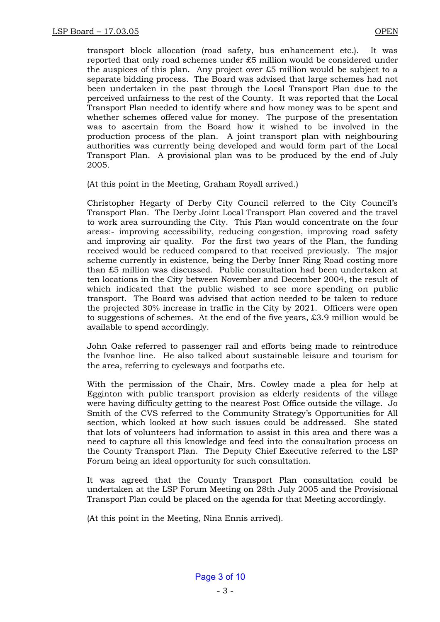transport block allocation (road safety, bus enhancement etc.). It was reported that only road schemes under £5 million would be considered under the auspices of this plan. Any project over £5 million would be subject to a separate bidding process. The Board was advised that large schemes had not been undertaken in the past through the Local Transport Plan due to the perceived unfairness to the rest of the County. It was reported that the Local Transport Plan needed to identify where and how money was to be spent and whether schemes offered value for money. The purpose of the presentation was to ascertain from the Board how it wished to be involved in the production process of the plan. A joint transport plan with neighbouring authorities was currently being developed and would form part of the Local Transport Plan. A provisional plan was to be produced by the end of July 2005.

(At this point in the Meeting, Graham Royall arrived.)

Christopher Hegarty of Derby City Council referred to the City Council's Transport Plan. The Derby Joint Local Transport Plan covered and the travel to work area surrounding the City. This Plan would concentrate on the four areas:- improving accessibility, reducing congestion, improving road safety and improving air quality. For the first two years of the Plan, the funding received would be reduced compared to that received previously. The major scheme currently in existence, being the Derby Inner Ring Road costing more than £5 million was discussed. Public consultation had been undertaken at ten locations in the City between November and December 2004, the result of which indicated that the public wished to see more spending on public transport. The Board was advised that action needed to be taken to reduce the projected 30% increase in traffic in the City by 2021. Officers were open to suggestions of schemes. At the end of the five years, £3.9 million would be available to spend accordingly.

John Oake referred to passenger rail and efforts being made to reintroduce the Ivanhoe line. He also talked about sustainable leisure and tourism for the area, referring to cycleways and footpaths etc.

With the permission of the Chair, Mrs. Cowley made a plea for help at Egginton with public transport provision as elderly residents of the village were having difficulty getting to the nearest Post Office outside the village. Jo Smith of the CVS referred to the Community Strategy's Opportunities for All section, which looked at how such issues could be addressed. She stated that lots of volunteers had information to assist in this area and there was a need to capture all this knowledge and feed into the consultation process on the County Transport Plan. The Deputy Chief Executive referred to the LSP Forum being an ideal opportunity for such consultation.

It was agreed that the County Transport Plan consultation could be undertaken at the LSP Forum Meeting on 28th July 2005 and the Provisional Transport Plan could be placed on the agenda for that Meeting accordingly.

(At this point in the Meeting, Nina Ennis arrived).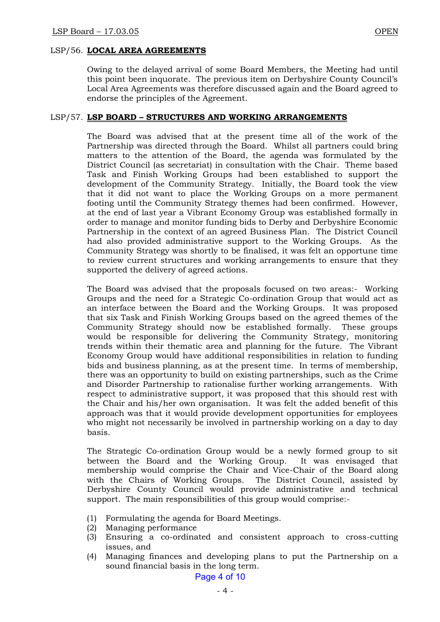### LSP/57. **LSP BOARD – STRUCTURES AND WORKING ARRANGEMENTS**

The Board was advised that at the present time all of the work of the Partnership was directed through the Board. Whilst all partners could bring matters to the attention of the Board, the agenda was formulated by the District Council (as secretariat) in consultation with the Chair. Theme based Task and Finish Working Groups had been established to support the development of the Community Strategy. Initially, the Board took the view that it did not want to place the Working Groups on a more permanent footing until the Community Strategy themes had been confirmed. However, at the end of last year a Vibrant Economy Group was established formally in order to manage and monitor funding bids to Derby and Derbyshire Economic Partnership in the context of an agreed Business Plan. The District Council had also provided administrative support to the Working Groups. As the Community Strategy was shortly to be finalised, it was felt an opportune time to review current structures and working arrangements to ensure that they supported the delivery of agreed actions.

The Board was advised that the proposals focused on two areas:- Working Groups and the need for a Strategic Co-ordination Group that would act as an interface between the Board and the Working Groups. It was proposed that six Task and Finish Working Groups based on the agreed themes of the Community Strategy should now be established formally. These groups would be responsible for delivering the Community Strategy, monitoring trends within their thematic area and planning for the future. The Vibrant Economy Group would have additional responsibilities in relation to funding bids and business planning, as at the present time. In terms of membership, there was an opportunity to build on existing partnerships, such as the Crime and Disorder Partnership to rationalise further working arrangements. With respect to administrative support, it was proposed that this should rest with the Chair and his/her own organisation. It was felt the added benefit of this approach was that it would provide development opportunities for employees who might not necessarily be involved in partnership working on a day to day basis.

The Strategic Co-ordination Group would be a newly formed group to sit between the Board and the Working Group. It was envisaged that membership would comprise the Chair and Vice-Chair of the Board along with the Chairs of Working Groups. The District Council, assisted by Derbyshire County Council would provide administrative and technical support. The main responsibilities of this group would comprise:-

- (1) Formulating the agenda for Board Meetings.
- (2) Managing performance
- (3) Ensuring a co-ordinated and consistent approach to cross-cutting issues, and
- (4) Managing finances and developing plans to put the Partnership on a sound financial basis in the long term.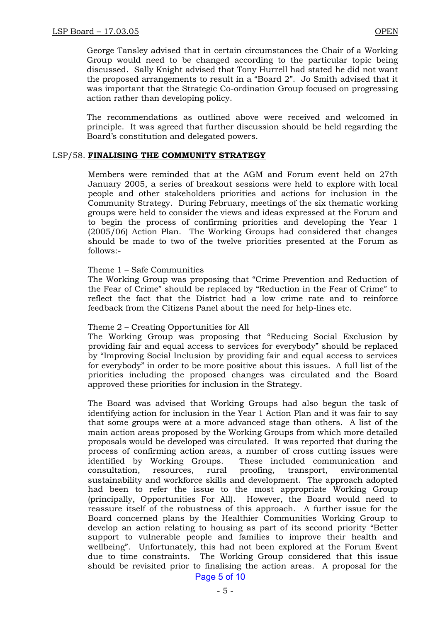George Tansley advised that in certain circumstances the Chair of a Working Group would need to be changed according to the particular topic being discussed. Sally Knight advised that Tony Hurrell had stated he did not want the proposed arrangements to result in a "Board 2". Jo Smith advised that it was important that the Strategic Co-ordination Group focused on progressing action rather than developing policy.

The recommendations as outlined above were received and welcomed in principle. It was agreed that further discussion should be held regarding the Board's constitution and delegated powers.

### LSP/58. **FINALISING THE COMMUNITY STRATEGY**

Members were reminded that at the AGM and Forum event held on 27th January 2005, a series of breakout sessions were held to explore with local people and other stakeholders priorities and actions for inclusion in the Community Strategy. During February, meetings of the six thematic working groups were held to consider the views and ideas expressed at the Forum and to begin the process of confirming priorities and developing the Year 1 (2005/06) Action Plan. The Working Groups had considered that changes should be made to two of the twelve priorities presented at the Forum as follows:-

### Theme 1 – Safe Communities

The Working Group was proposing that "Crime Prevention and Reduction of the Fear of Crime" should be replaced by "Reduction in the Fear of Crime" to reflect the fact that the District had a low crime rate and to reinforce feedback from the Citizens Panel about the need for help-lines etc.

### Theme 2 – Creating Opportunities for All

The Working Group was proposing that "Reducing Social Exclusion by providing fair and equal access to services for everybody" should be replaced by "Improving Social Inclusion by providing fair and equal access to services for everybody" in order to be more positive about this issues. A full list of the priorities including the proposed changes was circulated and the Board approved these priorities for inclusion in the Strategy.

The Board was advised that Working Groups had also begun the task of identifying action for inclusion in the Year 1 Action Plan and it was fair to say that some groups were at a more advanced stage than others. A list of the main action areas proposed by the Working Groups from which more detailed proposals would be developed was circulated. It was reported that during the process of confirming action areas, a number of cross cutting issues were identified by Working Groups. These included communication and consultation, resources, rural proofing, transport, environmental sustainability and workforce skills and development. The approach adopted had been to refer the issue to the most appropriate Working Group (principally, Opportunities For All). However, the Board would need to reassure itself of the robustness of this approach. A further issue for the Board concerned plans by the Healthier Communities Working Group to develop an action relating to housing as part of its second priority "Better support to vulnerable people and families to improve their health and wellbeing". Unfortunately, this had not been explored at the Forum Event due to time constraints. The Working Group considered that this issue should be revisited prior to finalising the action areas. A proposal for the

Page 5 of 10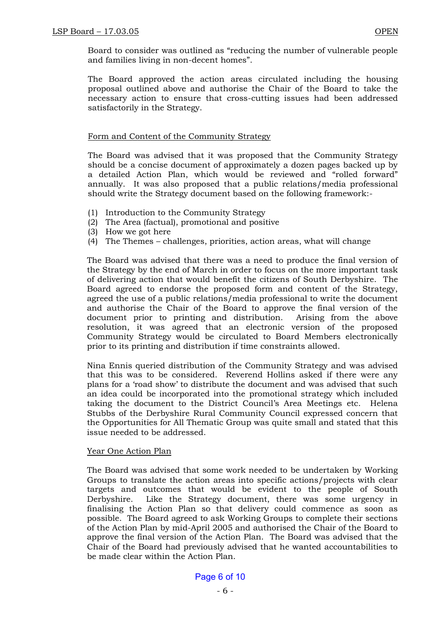Board to consider was outlined as "reducing the number of vulnerable people and families living in non-decent homes".

The Board approved the action areas circulated including the housing proposal outlined above and authorise the Chair of the Board to take the necessary action to ensure that cross-cutting issues had been addressed satisfactorily in the Strategy.

# Form and Content of the Community Strategy

The Board was advised that it was proposed that the Community Strategy should be a concise document of approximately a dozen pages backed up by a detailed Action Plan, which would be reviewed and "rolled forward" annually. It was also proposed that a public relations/media professional should write the Strategy document based on the following framework:-

- (1) Introduction to the Community Strategy
- (2) The Area (factual), promotional and positive
- (3) How we got here
- (4) The Themes challenges, priorities, action areas, what will change

The Board was advised that there was a need to produce the final version of the Strategy by the end of March in order to focus on the more important task of delivering action that would benefit the citizens of South Derbyshire. The Board agreed to endorse the proposed form and content of the Strategy, agreed the use of a public relations/media professional to write the document and authorise the Chair of the Board to approve the final version of the document prior to printing and distribution. Arising from the above resolution, it was agreed that an electronic version of the proposed Community Strategy would be circulated to Board Members electronically prior to its printing and distribution if time constraints allowed.

Nina Ennis queried distribution of the Community Strategy and was advised that this was to be considered. Reverend Hollins asked if there were any plans for a 'road show' to distribute the document and was advised that such an idea could be incorporated into the promotional strategy which included taking the document to the District Council's Area Meetings etc. Helena Stubbs of the Derbyshire Rural Community Council expressed concern that the Opportunities for All Thematic Group was quite small and stated that this issue needed to be addressed.

# Year One Action Plan

The Board was advised that some work needed to be undertaken by Working Groups to translate the action areas into specific actions/projects with clear targets and outcomes that would be evident to the people of South Derbyshire. Like the Strategy document, there was some urgency in finalising the Action Plan so that delivery could commence as soon as possible. The Board agreed to ask Working Groups to complete their sections of the Action Plan by mid-April 2005 and authorised the Chair of the Board to approve the final version of the Action Plan. The Board was advised that the Chair of the Board had previously advised that he wanted accountabilities to be made clear within the Action Plan.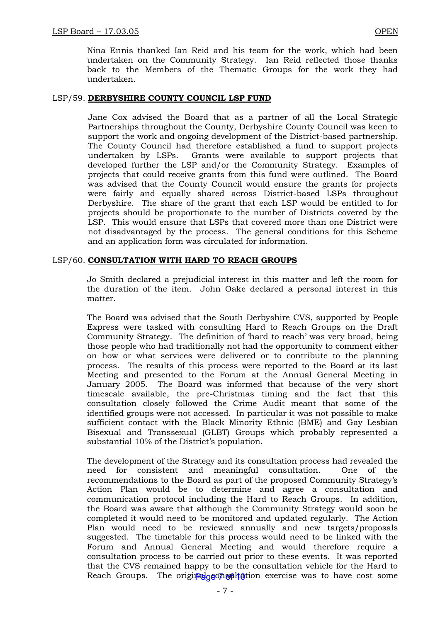Nina Ennis thanked Ian Reid and his team for the work, which had been undertaken on the Community Strategy. Ian Reid reflected those thanks back to the Members of the Thematic Groups for the work they had undertaken.

## LSP/59. **DERBYSHIRE COUNTY COUNCIL LSP FUND**

Jane Cox advised the Board that as a partner of all the Local Strategic Partnerships throughout the County, Derbyshire County Council was keen to support the work and ongoing development of the District-based partnership. The County Council had therefore established a fund to support projects undertaken by LSPs. Grants were available to support projects that developed further the LSP and/or the Community Strategy. Examples of projects that could receive grants from this fund were outlined. The Board was advised that the County Council would ensure the grants for projects were fairly and equally shared across District-based LSPs throughout Derbyshire. The share of the grant that each LSP would be entitled to for projects should be proportionate to the number of Districts covered by the LSP. This would ensure that LSPs that covered more than one District were not disadvantaged by the process. The general conditions for this Scheme and an application form was circulated for information.

### LSP/60. **CONSULTATION WITH HARD TO REACH GROUPS**

Jo Smith declared a prejudicial interest in this matter and left the room for the duration of the item. John Oake declared a personal interest in this matter.

The Board was advised that the South Derbyshire CVS, supported by People Express were tasked with consulting Hard to Reach Groups on the Draft Community Strategy. The definition of 'hard to reach' was very broad, being those people who had traditionally not had the opportunity to comment either on how or what services were delivered or to contribute to the planning process. The results of this process were reported to the Board at its last Meeting and presented to the Forum at the Annual General Meeting in January 2005. The Board was informed that because of the very short timescale available, the pre-Christmas timing and the fact that this consultation closely followed the Crime Audit meant that some of the identified groups were not accessed. In particular it was not possible to make sufficient contact with the Black Minority Ethnic (BME) and Gay Lesbian Bisexual and Transsexual (GLBT) Groups which probably represented a substantial 10% of the District's population.

The development of the Strategy and its consultation process had revealed the need for consistent and meaningful consultation. One of the recommendations to the Board as part of the proposed Community Strategy's Action Plan would be to determine and agree a consultation and communication protocol including the Hard to Reach Groups. In addition, the Board was aware that although the Community Strategy would soon be completed it would need to be monitored and updated regularly. The Action Plan would need to be reviewed annually and new targets/proposals suggested. The timetable for this process would need to be linked with the Forum and Annual General Meeting and would therefore require a consultation process to be carried out prior to these events. It was reported that the CVS remained happy to be the consultation vehicle for the Hard to Reach Groups. The original consultation exercise was to have cost some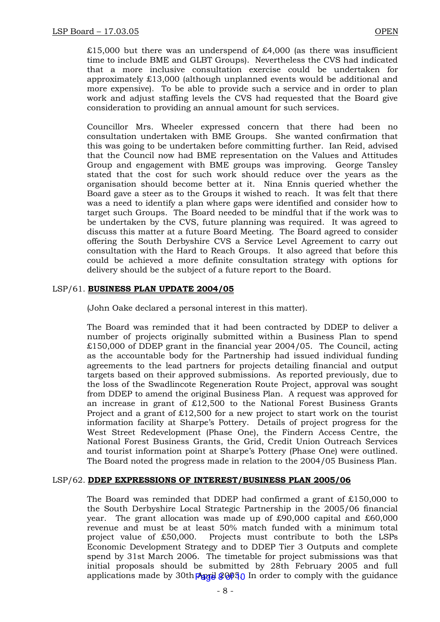$£15,000$  but there was an underspend of £4,000 (as there was insufficient time to include BME and GLBT Groups). Nevertheless the CVS had indicated that a more inclusive consultation exercise could be undertaken for approximately £13,000 (although unplanned events would be additional and more expensive). To be able to provide such a service and in order to plan work and adjust staffing levels the CVS had requested that the Board give consideration to providing an annual amount for such services.

Councillor Mrs. Wheeler expressed concern that there had been no consultation undertaken with BME Groups. She wanted confirmation that this was going to be undertaken before committing further. Ian Reid, advised that the Council now had BME representation on the Values and Attitudes Group and engagement with BME groups was improving. George Tansley stated that the cost for such work should reduce over the years as the organisation should become better at it. Nina Ennis queried whether the Board gave a steer as to the Groups it wished to reach. It was felt that there was a need to identify a plan where gaps were identified and consider how to target such Groups. The Board needed to be mindful that if the work was to be undertaken by the CVS, future planning was required. It was agreed to discuss this matter at a future Board Meeting. The Board agreed to consider offering the South Derbyshire CVS a Service Level Agreement to carry out consultation with the Hard to Reach Groups. It also agreed that before this could be achieved a more definite consultation strategy with options for delivery should be the subject of a future report to the Board.

# LSP/61. **BUSINESS PLAN UPDATE 2004/05**

(John Oake declared a personal interest in this matter).

The Board was reminded that it had been contracted by DDEP to deliver a number of projects originally submitted within a Business Plan to spend  $£150,000$  of DDEP grant in the financial year  $2004/05$ . The Council, acting as the accountable body for the Partnership had issued individual funding agreements to the lead partners for projects detailing financial and output targets based on their approved submissions. As reported previously, due to the loss of the Swadlincote Regeneration Route Project, approval was sought from DDEP to amend the original Business Plan. A request was approved for an increase in grant of  $£12,500$  to the National Forest Business Grants Project and a grant of £12,500 for a new project to start work on the tourist information facility at Sharpe's Pottery. Details of project progress for the West Street Redevelopment (Phase One), the Findern Access Centre, the National Forest Business Grants, the Grid, Credit Union Outreach Services and tourist information point at Sharpe's Pottery (Phase One) were outlined. The Board noted the progress made in relation to the 2004/05 Business Plan.

# LSP/62. **DDEP EXPRESSIONS OF INTEREST/BUSINESS PLAN 2005/06**

The Board was reminded that DDEP had confirmed a grant of  $£150,000$  to the South Derbyshire Local Strategic Partnership in the 2005/06 financial year. The grant allocation was made up of £90,000 capital and £60,000 revenue and must be at least 50% match funded with a minimum total project value of £50,000. Projects must contribute to both the LSPs Economic Development Strategy and to DDEP Tier 3 Outputs and complete spend by 31st March 2006. The timetable for project submissions was that initial proposals should be submitted by 28th February 2005 and full applications made by 30th  $\frac{20050}{90}$  In order to comply with the guidance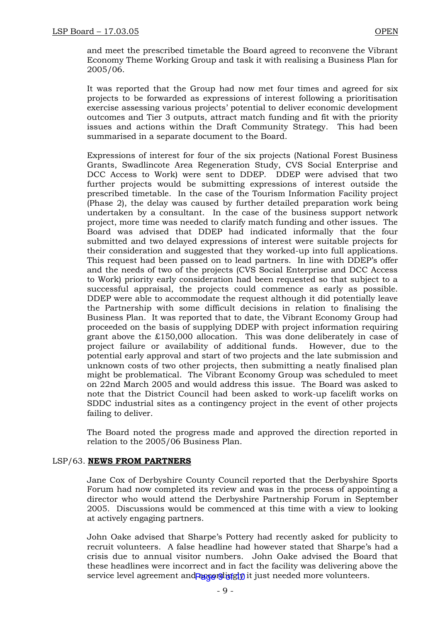and meet the prescribed timetable the Board agreed to reconvene the Vibrant Economy Theme Working Group and task it with realising a Business Plan for 2005/06.

It was reported that the Group had now met four times and agreed for six projects to be forwarded as expressions of interest following a prioritisation exercise assessing various projects' potential to deliver economic development outcomes and Tier 3 outputs, attract match funding and fit with the priority issues and actions within the Draft Community Strategy. This had been summarised in a separate document to the Board.

Expressions of interest for four of the six projects (National Forest Business Grants, Swadlincote Area Regeneration Study, CVS Social Enterprise and DCC Access to Work) were sent to DDEP. DDEP were advised that two further projects would be submitting expressions of interest outside the prescribed timetable. In the case of the Tourism Information Facility project (Phase 2), the delay was caused by further detailed preparation work being undertaken by a consultant. In the case of the business support network project, more time was needed to clarify match funding and other issues. The Board was advised that DDEP had indicated informally that the four submitted and two delayed expressions of interest were suitable projects for their consideration and suggested that they worked-up into full applications. This request had been passed on to lead partners. In line with DDEP's offer and the needs of two of the projects (CVS Social Enterprise and DCC Access to Work) priority early consideration had been requested so that subject to a successful appraisal, the projects could commence as early as possible. DDEP were able to accommodate the request although it did potentially leave the Partnership with some difficult decisions in relation to finalising the Business Plan. It was reported that to date, the Vibrant Economy Group had proceeded on the basis of supplying DDEP with project information requiring grant above the £150,000 allocation. This was done deliberately in case of project failure or availability of additional funds. However, due to the potential early approval and start of two projects and the late submission and unknown costs of two other projects, then submitting a neatly finalised plan might be problematical. The Vibrant Economy Group was scheduled to meet on 22nd March 2005 and would address this issue. The Board was asked to note that the District Council had been asked to work-up facelift works on SDDC industrial sites as a contingency project in the event of other projects failing to deliver.

The Board noted the progress made and approved the direction reported in relation to the 2005/06 Business Plan.

# LSP/63. **NEWS FROM PARTNERS**

Jane Cox of Derbyshire County Council reported that the Derbyshire Sports Forum had now completed its review and was in the process of appointing a director who would attend the Derbyshire Partnership Forum in September 2005. Discussions would be commenced at this time with a view to looking at actively engaging partners.

John Oake advised that Sharpe's Pottery had recently asked for publicity to recruit volunteers. A false headline had however stated that Sharpe's had a crisis due to annual visitor numbers. John Oake advised the Board that these headlines were incorrect and in fact the facility was delivering above the service level agreement and accordingly it just needed more volunteers.